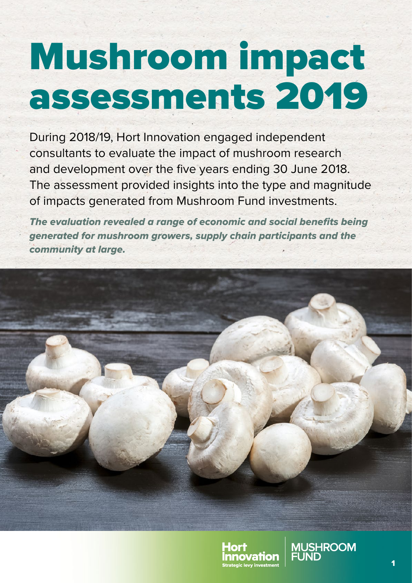# Mushroom impact assessments 2019

During 2018/19, Hort Innovation engaged independent consultants to evaluate the impact of mushroom research and development over the five years ending 30 June 2018. The assessment provided insights into the type and magnitude of impacts generated from Mushroom Fund investments.

*The evaluation revealed a range of economic and social benefits being generated for mushroom growers, supply chain participants and the community at large.*



![](_page_0_Picture_4.jpeg)

**MUSHROOM**<br>FUND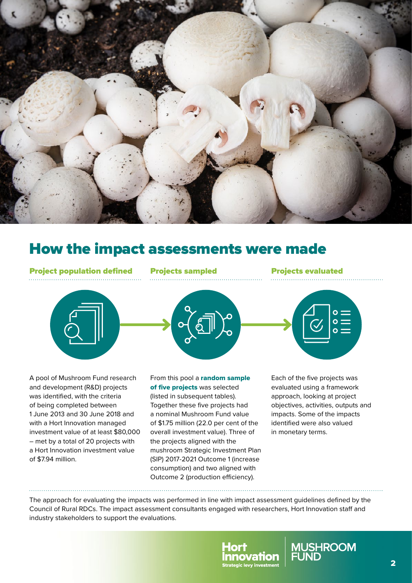![](_page_1_Picture_0.jpeg)

## How the impact assessments were made

Project population defined Projects sampled Projects evaluated

![](_page_1_Picture_5.jpeg)

A pool of Mushroom Fund research and development (R&D) projects was identified, with the criteria of being completed between 1 June 2013 and 30 June 2018 and with a Hort Innovation managed investment value of at least \$80,000 – met by a total of 20 projects with a Hort Innovation investment value of \$7.94 million.

From this pool a random sample of five projects was selected (listed in subsequent tables). Together these five projects had a nominal Mushroom Fund value of \$1.75 million (22.0 per cent of the overall investment value). Three of the projects aligned with the mushroom Strategic Investment Plan (SIP) 2017-2021 Outcome 1 (increase consumption) and two aligned with Outcome 2 (production efficiency).

Each of the five projects was evaluated using a framework approach, looking at project objectives, activities, outputs and impacts. Some of the impacts identified were also valued in monetary terms.

 $\circ =$ 

The approach for evaluating the impacts was performed in line with impact assessment guidelines defined by the Council of Rural RDCs. The impact assessment consultants engaged with researchers, Hort Innovation staff and industry stakeholders to support the evaluations.

![](_page_1_Picture_10.jpeg)

![](_page_1_Picture_11.jpeg)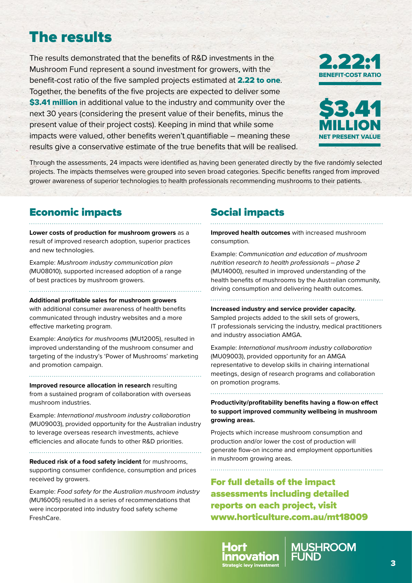## The results

The results demonstrated that the benefits of R&D investments in the Mushroom Fund represent a sound investment for growers, with the benefit-cost ratio of the five sampled projects estimated at 2.22 to one. Together, the benefits of the five projects are expected to deliver some \$3.41 million in additional value to the industry and community over the next 30 years (considering the present value of their benefits, minus the present value of their project costs). Keeping in mind that while some impacts were valued, other benefits weren't quantifiable – meaning these results give a conservative estimate of the true benefits that will be realised.

![](_page_2_Picture_2.jpeg)

![](_page_2_Picture_3.jpeg)

Through the assessments, 24 impacts were identified as having been generated directly by the five randomly selected projects. The impacts themselves were grouped into seven broad categories. Specific benefits ranged from improved grower awareness of superior technologies to health professionals recommending mushrooms to their patients.

#### Economic impacts

**Lower costs of production for mushroom growers** as a result of improved research adoption, superior practices and new technologies.

Example: *Mushroom industry communication plan*  (MU08010), supported increased adoption of a range of best practices by mushroom growers.

**Additional profitable sales for mushroom growers**  with additional consumer awareness of health benefits communicated through industry websites and a more effective marketing program.

Example: *Analytics for mushrooms* (MU12005), resulted in improved understanding of the mushroom consumer and targeting of the industry's 'Power of Mushrooms' marketing and promotion campaign.

**Improved resource allocation in research** resulting from a sustained program of collaboration with overseas mushroom industries.

Example: *International mushroom industry collaboration* (MU09003), provided opportunity for the Australian industry to leverage overseas research investments, achieve efficiencies and allocate funds to other R&D priorities.

**Reduced risk of a food safety incident** for mushrooms, supporting consumer confidence, consumption and prices received by growers.

Example: *Food safety for the Australian mushroom industry*  (MU16005) resulted in a series of recommendations that were incorporated into industry food safety scheme FreshCare.

## Social impacts

**Improved health outcomes** with increased mushroom consumption.

Example: *Communication and education of mushroom nutrition research to health professionals – phase 2* (MU14000), resulted in improved understanding of the health benefits of mushrooms by the Australian community, driving consumption and delivering health outcomes.

**Increased industry and service provider capacity.** 

Sampled projects added to the skill sets of growers, IT professionals servicing the industry, medical practitioners and industry association AMGA.

Example: *International mushroom industry collaboration* (MU09003), provided opportunity for an AMGA representative to develop skills in chairing international meetings, design of research programs and collaboration on promotion programs.

**Productivity/profitability benefits having a flow-on effect to support improved community wellbeing in mushroom growing areas.**

Projects which increase mushroom consumption and production and/or lower the cost of production will generate flow-on income and employment opportunities in mushroom growing areas.

For full details of the impact assessments including detailed reports on each project, visit [www.horticulture.com.au/mt18009](http://www.horticulture.com.au/mt18009)

![](_page_2_Picture_23.jpeg)